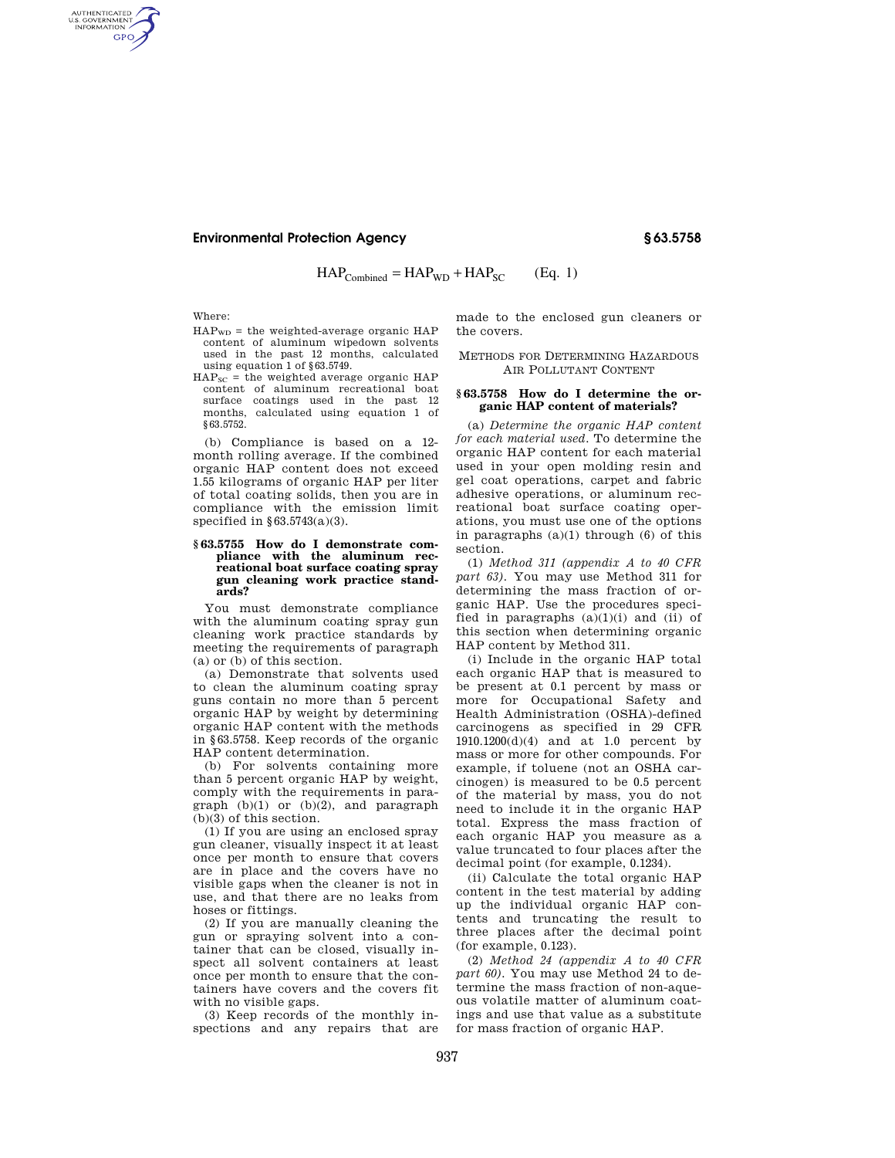# **Environmental Protection Agency § 63.5758**

 $HAP_{Combined} = HAP_{WD} + HAP_{SC}$  (Eq. 1)

Where:

AUTHENTICATED<br>U.S. GOVERNMENT<br>INFORMATION GPO

- $HAP_{WD}$  = the weighted-average organic  $HAP$ content of aluminum wipedown solvents used in the past 12 months, calculated using equation 1 of §63.5749.
- $HAP<sub>SC</sub>$  = the weighted average organic HAP content of aluminum recreational boat surface coatings used in the past 12 months, calculated using equation 1 of §63.5752.

(b) Compliance is based on a 12 month rolling average. If the combined organic HAP content does not exceed 1.55 kilograms of organic HAP per liter of total coating solids, then you are in compliance with the emission limit specified in  $§63.5743(a)(3)$ .

### **§ 63.5755 How do I demonstrate compliance with the aluminum recreational boat surface coating spray gun cleaning work practice standards?**

You must demonstrate compliance with the aluminum coating spray gun cleaning work practice standards by meeting the requirements of paragraph (a) or (b) of this section.

(a) Demonstrate that solvents used to clean the aluminum coating spray guns contain no more than 5 percent organic HAP by weight by determining organic HAP content with the methods in §63.5758. Keep records of the organic HAP content determination.

(b) For solvents containing more than 5 percent organic HAP by weight, comply with the requirements in paragraph (b)(1) or (b)(2), and paragraph (b)(3) of this section.

(1) If you are using an enclosed spray gun cleaner, visually inspect it at least once per month to ensure that covers are in place and the covers have no visible gaps when the cleaner is not in use, and that there are no leaks from hoses or fittings.

(2) If you are manually cleaning the gun or spraying solvent into a container that can be closed, visually inspect all solvent containers at least once per month to ensure that the containers have covers and the covers fit with no visible gaps.

(3) Keep records of the monthly inspections and any repairs that are made to the enclosed gun cleaners or the covers.

## METHODS FOR DETERMINING HAZARDOUS AIR POLLUTANT CONTENT

### **§ 63.5758 How do I determine the organic HAP content of materials?**

(a) *Determine the organic HAP content for each material used.* To determine the organic HAP content for each material used in your open molding resin and gel coat operations, carpet and fabric adhesive operations, or aluminum recreational boat surface coating operations, you must use one of the options in paragraphs  $(a)(1)$  through  $(6)$  of this section.

(1) *Method 311 (appendix A to 40 CFR part 63).* You may use Method 311 for determining the mass fraction of organic HAP. Use the procedures specified in paragraphs  $(a)(1)(i)$  and  $(ii)$  of this section when determining organic HAP content by Method 311.

(i) Include in the organic HAP total each organic HAP that is measured to be present at 0.1 percent by mass or more for Occupational Safety and Health Administration (OSHA)-defined carcinogens as specified in 29 CFR 1910.1200(d)(4) and at 1.0 percent by mass or more for other compounds. For example, if toluene (not an OSHA carcinogen) is measured to be 0.5 percent of the material by mass, you do not need to include it in the organic HAP total. Express the mass fraction of each organic HAP you measure as a value truncated to four places after the decimal point (for example, 0.1234).

(ii) Calculate the total organic HAP content in the test material by adding up the individual organic HAP contents and truncating the result to three places after the decimal point (for example, 0.123).

(2) *Method 24 (appendix A to 40 CFR part 60).* You may use Method 24 to determine the mass fraction of non-aqueous volatile matter of aluminum coatings and use that value as a substitute for mass fraction of organic HAP.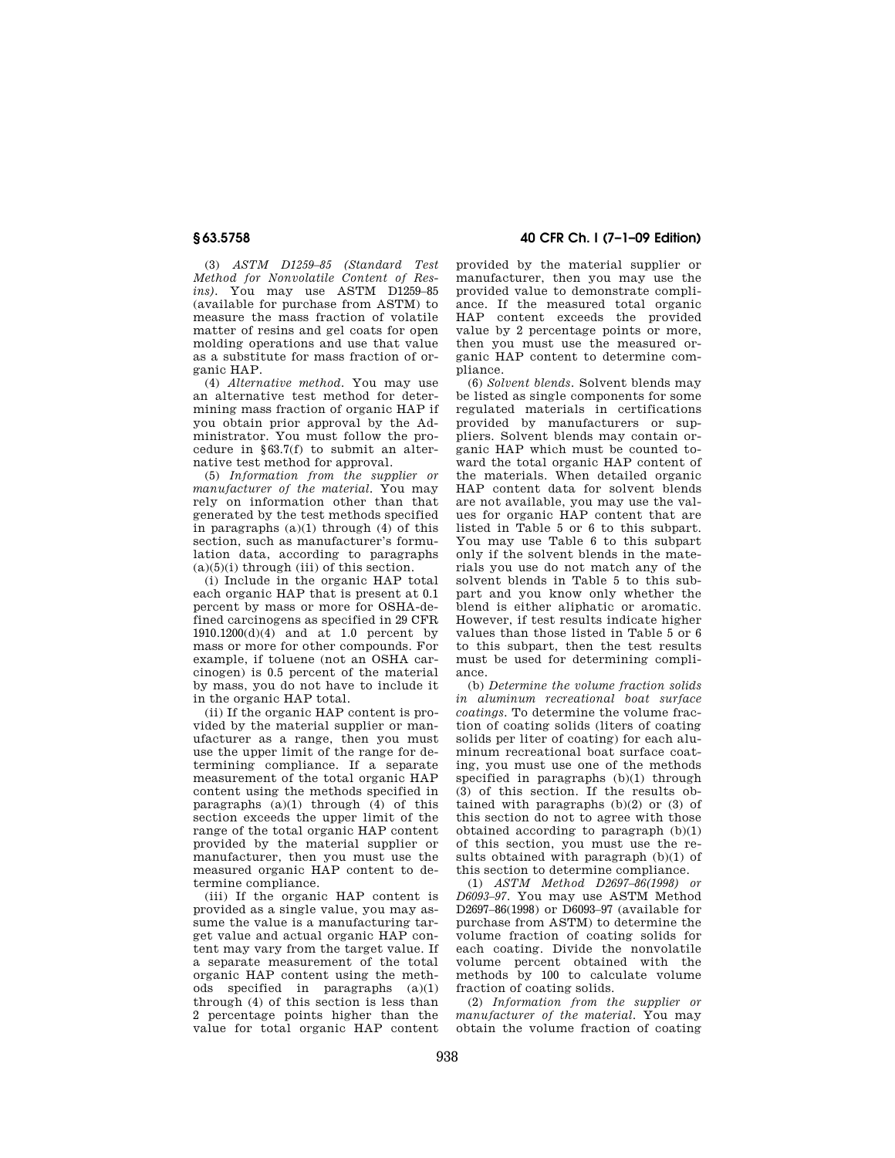(3) *ASTM D1259–85 (Standard Test Method for Nonvolatile Content of Resins).* You may use ASTM D1259–85 (available for purchase from ASTM) to measure the mass fraction of volatile matter of resins and gel coats for open molding operations and use that value as a substitute for mass fraction of organic HAP.

(4) *Alternative method.* You may use an alternative test method for determining mass fraction of organic HAP if you obtain prior approval by the Administrator. You must follow the procedure in §63.7(f) to submit an alternative test method for approval.

(5) *Information from the supplier or manufacturer of the material.* You may rely on information other than that generated by the test methods specified in paragraphs  $(a)(1)$  through  $(4)$  of this section, such as manufacturer's formulation data, according to paragraphs  $(a)(5)(i)$  through (iii) of this section.

(i) Include in the organic HAP total each organic HAP that is present at 0.1 percent by mass or more for OSHA-defined carcinogens as specified in 29 CFR  $1910.1200(d)(4)$  and at 1.0 percent by mass or more for other compounds. For example, if toluene (not an OSHA carcinogen) is 0.5 percent of the material by mass, you do not have to include it in the organic HAP total.

(ii) If the organic HAP content is provided by the material supplier or manufacturer as a range, then you must use the upper limit of the range for determining compliance. If a separate measurement of the total organic HAP content using the methods specified in paragraphs  $(a)(1)$  through  $(4)$  of this section exceeds the upper limit of the range of the total organic HAP content provided by the material supplier or manufacturer, then you must use the measured organic HAP content to determine compliance.

(iii) If the organic HAP content is provided as a single value, you may assume the value is a manufacturing target value and actual organic HAP content may vary from the target value. If a separate measurement of the total organic HAP content using the methods specified in paragraphs (a)(1) through (4) of this section is less than 2 percentage points higher than the value for total organic HAP content

# **§ 63.5758 40 CFR Ch. I (7–1–09 Edition)**

provided by the material supplier or manufacturer, then you may use the provided value to demonstrate compliance. If the measured total organic HAP content exceeds the provided value by 2 percentage points or more, then you must use the measured organic HAP content to determine compliance.

(6) *Solvent blends.* Solvent blends may be listed as single components for some regulated materials in certifications provided by manufacturers or suppliers. Solvent blends may contain organic HAP which must be counted toward the total organic HAP content of the materials. When detailed organic HAP content data for solvent blends are not available, you may use the values for organic HAP content that are listed in Table 5 or 6 to this subpart. You may use Table 6 to this subpart only if the solvent blends in the materials you use do not match any of the solvent blends in Table 5 to this subpart and you know only whether the blend is either aliphatic or aromatic. However, if test results indicate higher values than those listed in Table 5 or 6 to this subpart, then the test results must be used for determining compliance.

(b) *Determine the volume fraction solids in aluminum recreational boat surface coatings.* To determine the volume fraction of coating solids (liters of coating solids per liter of coating) for each aluminum recreational boat surface coating, you must use one of the methods specified in paragraphs (b)(1) through (3) of this section. If the results obtained with paragraphs (b)(2) or (3) of this section do not to agree with those obtained according to paragraph  $(b)(1)$ of this section, you must use the results obtained with paragraph (b)(1) of this section to determine compliance.

(1) *ASTM Method D2697–86(1998) or D6093–97.* You may use ASTM Method D2697–86(1998) or D6093–97 (available for purchase from ASTM) to determine the volume fraction of coating solids for each coating. Divide the nonvolatile volume percent obtained with the methods by 100 to calculate volume fraction of coating solids.

(2) *Information from the supplier or manufacturer of the material.* You may obtain the volume fraction of coating